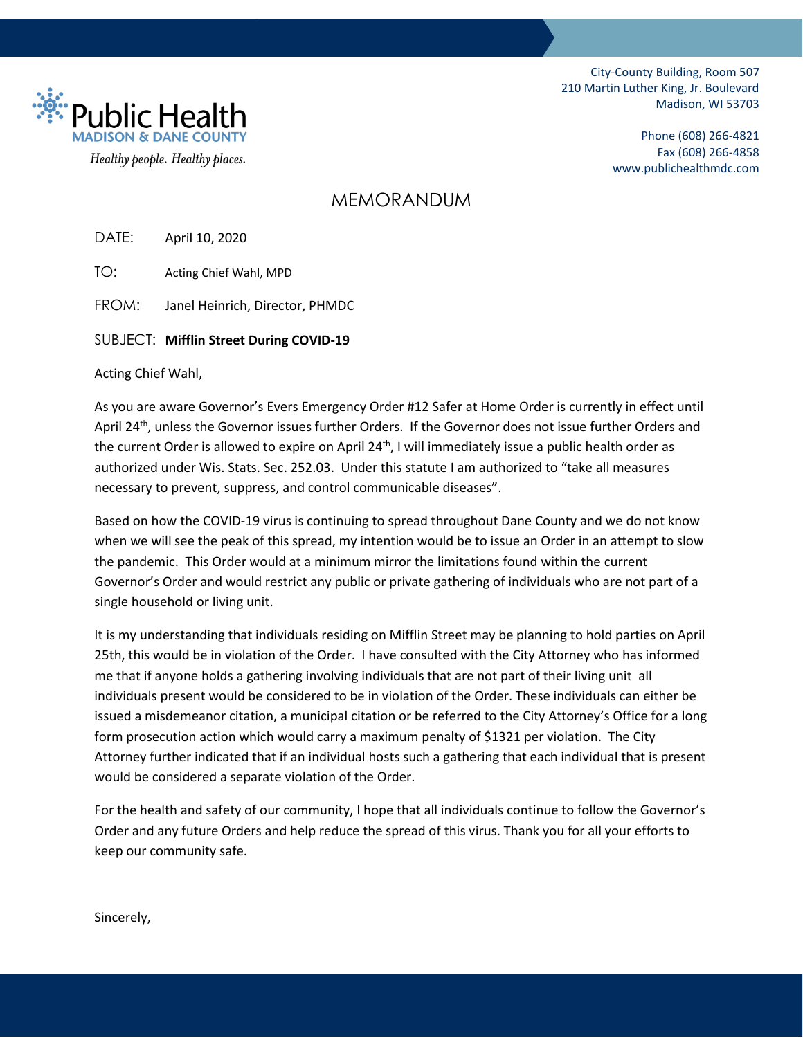City-County Building, Room 507 210 Martin Luther King, Jr. Boulevard Madison, WI 53703

ं<br>∷ैं Public Heal Healthy people. Healthy places.

Phone (608) 266-4821 Fax (608) 266-4858 www.publichealthmdc.com

## MEMORANDUM

DATE: April 10, 2020

TO: Acting Chief Wahl, MPD

FROM: Janel Heinrich, Director, PHMDC

SUBJECT: **Mifflin Street During COVID-19**

Acting Chief Wahl,

As you are aware Governor's Evers Emergency Order #12 Safer at Home Order is currently in effect until April 24<sup>th</sup>, unless the Governor issues further Orders. If the Governor does not issue further Orders and the current Order is allowed to expire on April 24<sup>th</sup>, I will immediately issue a public health order as authorized under Wis. Stats. Sec. 252.03. Under this statute I am authorized to "take all measures necessary to prevent, suppress, and control communicable diseases".

Based on how the COVID-19 virus is continuing to spread throughout Dane County and we do not know when we will see the peak of this spread, my intention would be to issue an Order in an attempt to slow the pandemic. This Order would at a minimum mirror the limitations found within the current Governor's Order and would restrict any public or private gathering of individuals who are not part of a single household or living unit.

It is my understanding that individuals residing on Mifflin Street may be planning to hold parties on April 25th, this would be in violation of the Order. I have consulted with the City Attorney who has informed me that if anyone holds a gathering involving individuals that are not part of their living unit all individuals present would be considered to be in violation of the Order. These individuals can either be issued a misdemeanor citation, a municipal citation or be referred to the City Attorney's Office for a long form prosecution action which would carry a maximum penalty of \$1321 per violation. The City Attorney further indicated that if an individual hosts such a gathering that each individual that is present would be considered a separate violation of the Order.

For the health and safety of our community, I hope that all individuals continue to follow the Governor's Order and any future Orders and help reduce the spread of this virus. Thank you for all your efforts to keep our community safe.

Sincerely,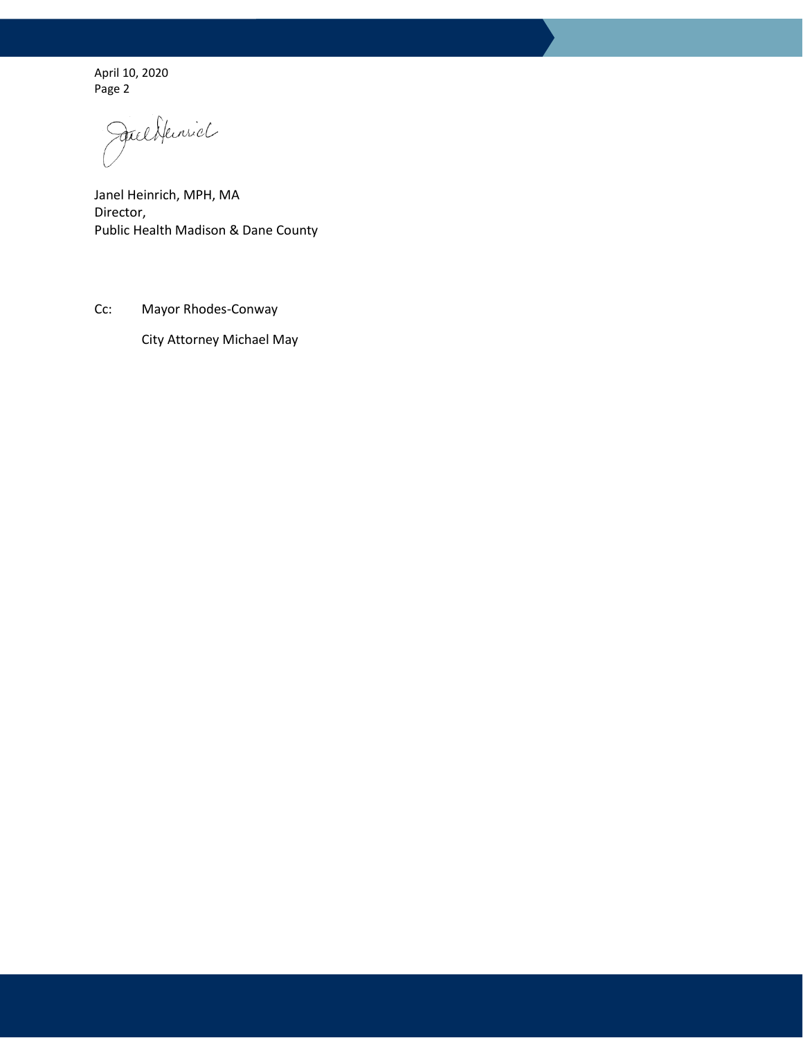April 10, 2020 Page 2

Juliflerich

Janel Heinrich, MPH, MA Director, Public Health Madison & Dane County

Cc: Mayor Rhodes-Conway

City Attorney Michael May